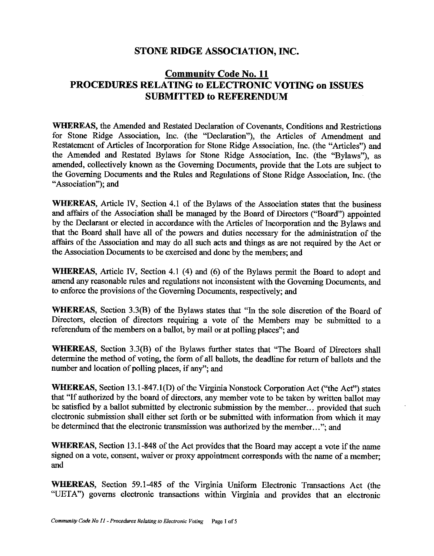### **STONE RIDGE ASSOCIATION, INC.**

# **Community Code No. 11 PROCEDURES RELATING to ELECTRONIC VOTING on ISSUES SUBMITTED to REFERENDUM**

**WHEREAS,** the Amended and Restated Declaration of Covenants, Conditions and Restrictions for Stone Ridge Association, Inc. (the "Declaration"), the Articles of Amendment and Restatement of Articles of Incorporation for Stone Ridge Association, Inc. (the "Articles") and the Amended and Restated Bylaws for Stone Ridge Association, Inc. (the "Bylaws"), as amended, collectively known as the Governing Documents, provide that the Lots are subject to the Governing Documents and the Rules and Regulations of Stone Ridge Association, Inc. (the "Association"): and

**WHEREAS,** Article *N,* Section 4.1 of the Bylaws of the Association states that the business and affairs of the Association shall be managed by the Board of Directors ("Board") appointed by the Declarant or elected in accordance with the Articles of Incorporation and the Bylaws and that the Board shall have all of the powers and duties necessary for the administration of the affairs of the Association and may do all such acts and things as are not required by the Act or the Association Documents to be exercised and done by the members; and

**WHEREAS,** Article *N,* Section 4.1 (4) and (6) of the Bylaws permit the Board to adopt and amend any reasonable rules and regulations not inconsistent with the Governing Documents, and to enforce the provisions of the Governing Documents, respectively; and

**WHEREAS,** Section 3.3(B) of the Bylaws states that "In the sole discretion of the Board of Directors, election of directors requiring a vote of the Members may be submitted to a referendum of the members on a ballot, by mail or at polling places"; and

**WHEREAS,** Section 3.3(B) of the Bylaws further states that "The Board of Directors shall determine the method of voting, the form of all ballots, the deadline for return of ballots and the number and location of polling places, if any"; and

**WHEREAS,** Section 13.1-847.l(D) of the Virginia Nonstock Corporation Act ("the Act") states that "If authorized by the board of directors, any member vote to be taken by written ballot may be satisfied by a ballot submitted by electronic submission by the member ... provided that such electronic submission shall either set forth or be submitted with information from which it may be determined that the electronic transmission was authorized by the member ..."; and

**WHEREAS,** Section 13 .1-848 of the Act provides that the Board may accept a vote if the name signed on a vote, consent, waiver or proxy appointment corresponds with the name of a member; and

**WHEREAS,** Section 59.1-485 of the Virginia Uniform Electronic Transactions Act (the "UETA") governs electronic transactions within Virginia and provides that an electronic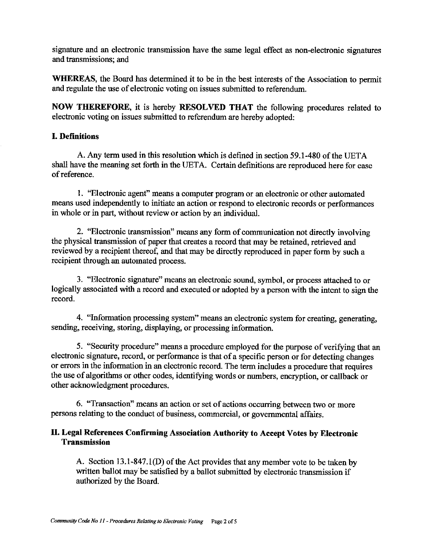signature and an electronic transmission have the same legal effect as non-electronic signatures and transmissions; and

**WHEREAS,** the Board has determined it to be in the best interests of the Association to permit and regulate the use of electronic voting on issues submitted to referendum.

**NOW THEREFORE,** it is hereby **RESOLVED THAT** the following procedures related to electronic voting on issues submitted to referendum are hereby adopted:

#### I. **Definitions**

A. Any term used in this resolution which is defined in section 59.1-480 of the UETA shall have the meaning set forth in the UETA. Certain definitions are reproduced here for ease of reference.

1. "Electronic agent" means a computer program or an electronic or other automated means used independently to initiate an action or respond to electronic records or performances in whole or in part, without review or action by an individual.

2. "Electronic transmission" means any form of communication not directly involving the physical transmission of paper that creates a record that may be retained, retrieved and reviewed by a recipient thereof, and that may be directly reproduced in paper form by such a recipient through an automated process.

3. "Electronic signature" means an electronic sound, symbol, or process attached to or logically associated with a record and executed or adopted by a person with the intent to sign the record.

4. "Information processing system" means an electronic system for creating, generating, sending, receiving, storing, displaying, or processing information.

5. "Security procedure" means a procedure employed for the purpose of verifying that an electronic signature, record, or performance is that of a specific person or for detecting changes or errors in the information in an electronic record. The term includes a procedure that requires the use of algorithms or other codes, identifying words or numbers, encryption, or callback or other acknowledgment procedures.

6. "Transaction" means an action or set of actions occurring between two or more persons relating to the conduct of business, commercial, or governmental affairs.

#### II. **Legal References Confirming Association Authority to Accept Votes by Electronic Transmission**

A. Section 13.1-847.1(D) of the Act provides that any member vote to be taken by written ballot may be satisfied by a ballot submitted by electronic transmission if authorized by the Board.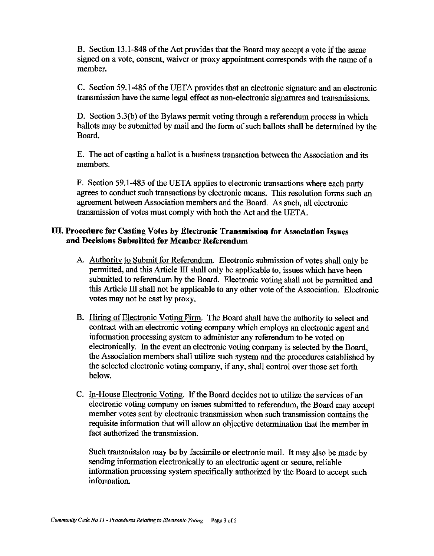B. Section 13.1-848 of the Act provides that the Board may accept a vote if the name signed on a vote, consent, waiver or proxy appointment corresponds with the name of a member.

C. Section 59.1-485 of the UETA provides that an electronic signature and an electronic transmission have the same legal effect as non-electronic signatures and transmissions.

D. Section  $3.3(b)$  of the Bylaws permit voting through a referendum process in which ballots may be submitted by mail and the form of such ballots shall be determined by the Board.

E. The act of casting a ballot is a business transaction between the Association and its members.

F. Section 59.1-483 of the UETA applies to electronic transactions where each party agrees to conduct such transactions by electronic means. This resolution forms such an agreement between Association members and the Board. As such, all electronic transmission of votes must comply with both the Act and the UETA.

#### III. **Procedure for Casting Votes by Electronic Transmission for Association Issues and Decisions Submitted for Member Referendum**

- A. Authority to Submit for Referendum. Electronic submission of votes shall only be pennitted, and this Article III shall only be applicable to, issues which have been submitted to referendum by the Board. Electronic voting shall not be permitted and this Article III shall not be applicable to any other vote ofthe Association. Electronic votes may not be cast by proxy.
- B. Hiring of Electronic Voting Firm. The Board shall have the authority to select and contract with an electronic voting company which employs an electronic agent and information processing system to administer any referendum to be voted on electronically. In the event an electronic voting company is selected by the Board, the Association members shall utilize such system and the procedures established by the selected electronic voting company, if any, shall control over those set forth below.
- C. In-House Electronic Voting. If the Board decides not to utilize the services of an electronic voting company on issues submitted to referendum, the Board may accept member votes sent by electronic transmission when such transmission contains the requisite information that will allow an objective determination that the member in fact authorized the transmission.

Such transmission may be by facsimile or electronic mail. It may also be made by sending information electronically to an electronic agent or secure, reliable information processing system specifically authorized by the Board to accept such information.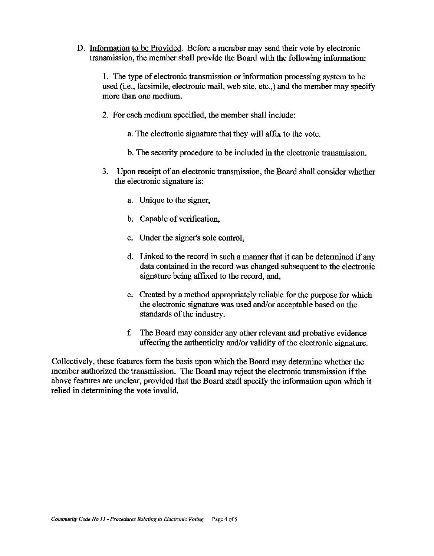D. Information to be Provided. Before a member may send their vote by electronic transmission, the member shall provide the Board with the following information:

1. The type of electronic transmission or information processing system to be used (i.e., facsimile, electronic mail, web site, etc.,) and the member may specify more than one medium.

- 2. For each medium specified, the member shall include:
	- a. The electronic signature that they will affix to the vote.
	- b. The security procedure to be included in the electronic transmission.
- 3. Upon receipt of an electronic transmission, the Board shall consider whether the electronic signature is:
	- a. Unique to the signer,
	- b. Capable of verification,
	- c. Under the signer's sole control,
	- d. Linked to the record in such a manner that it can be determined if any data contained in the record was changed subsequent to the electronic signature being affixed to the record, and,
	- e. Created by a method appropriately reliable for the purpose for which the electronic signature was used and/or acceptable based on the standards of the industry.
	- f. The Board may consider any other relevant and probative evidence affecting the authenticity and/or validity of the electronic signature.

Collectively, these features form the basis upon which the Board may determine whether the member authorized the transmission. The Board may reject the electronic transmission if the above features are unclear, provided that the Board shall specify the information upon which it relied in determining the vote invalid.